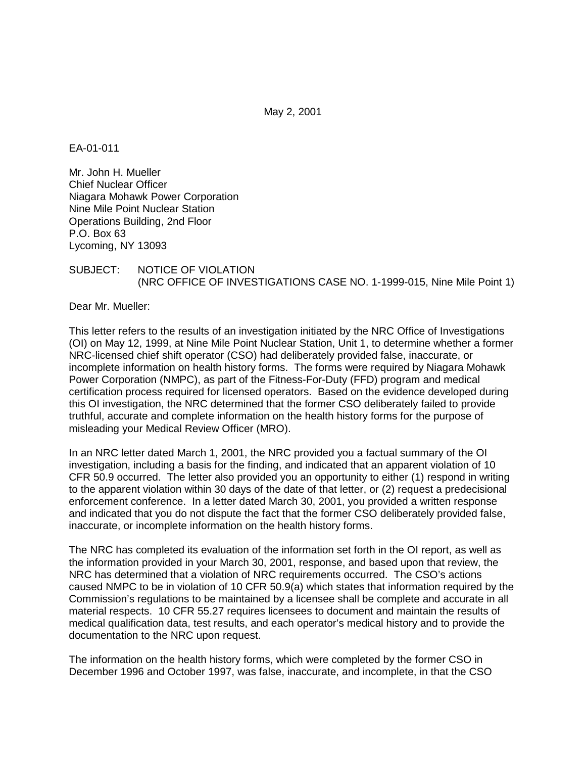May 2, 2001

## EA-01-011

Mr. John H. Mueller Chief Nuclear Officer Niagara Mohawk Power Corporation Nine Mile Point Nuclear Station Operations Building, 2nd Floor P.O. Box 63 Lycoming, NY 13093

### SUBJECT: NOTICE OF VIOLATION (NRC OFFICE OF INVESTIGATIONS CASE NO. 1-1999-015, Nine Mile Point 1)

Dear Mr. Mueller:

This letter refers to the results of an investigation initiated by the NRC Office of Investigations (OI) on May 12, 1999, at Nine Mile Point Nuclear Station, Unit 1, to determine whether a former NRC-licensed chief shift operator (CSO) had deliberately provided false, inaccurate, or incomplete information on health history forms. The forms were required by Niagara Mohawk Power Corporation (NMPC), as part of the Fitness-For-Duty (FFD) program and medical certification process required for licensed operators. Based on the evidence developed during this OI investigation, the NRC determined that the former CSO deliberately failed to provide truthful, accurate and complete information on the health history forms for the purpose of misleading your Medical Review Officer (MRO).

In an NRC letter dated March 1, 2001, the NRC provided you a factual summary of the OI investigation, including a basis for the finding, and indicated that an apparent violation of 10 CFR 50.9 occurred. The letter also provided you an opportunity to either (1) respond in writing to the apparent violation within 30 days of the date of that letter, or (2) request a predecisional enforcement conference. In a letter dated March 30, 2001, you provided a written response and indicated that you do not dispute the fact that the former CSO deliberately provided false, inaccurate, or incomplete information on the health history forms.

The NRC has completed its evaluation of the information set forth in the OI report, as well as the information provided in your March 30, 2001, response, and based upon that review, the NRC has determined that a violation of NRC requirements occurred. The CSO's actions caused NMPC to be in violation of 10 CFR 50.9(a) which states that information required by the Commission's regulations to be maintained by a licensee shall be complete and accurate in all material respects. 10 CFR 55.27 requires licensees to document and maintain the results of medical qualification data, test results, and each operator's medical history and to provide the documentation to the NRC upon request.

The information on the health history forms, which were completed by the former CSO in December 1996 and October 1997, was false, inaccurate, and incomplete, in that the CSO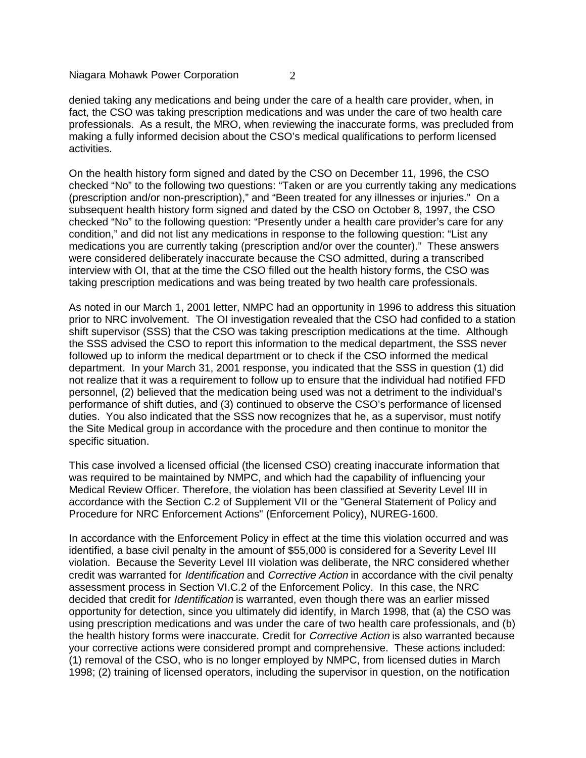Niagara Mohawk Power Corporation 2

denied taking any medications and being under the care of a health care provider, when, in fact, the CSO was taking prescription medications and was under the care of two health care professionals. As a result, the MRO, when reviewing the inaccurate forms, was precluded from making a fully informed decision about the CSO's medical qualifications to perform licensed activities.

On the health history form signed and dated by the CSO on December 11, 1996, the CSO checked "No" to the following two questions: "Taken or are you currently taking any medications (prescription and/or non-prescription)," and "Been treated for any illnesses or injuries." On a subsequent health history form signed and dated by the CSO on October 8, 1997, the CSO checked "No" to the following question: "Presently under a health care provider's care for any condition," and did not list any medications in response to the following question: "List any medications you are currently taking (prescription and/or over the counter)." These answers were considered deliberately inaccurate because the CSO admitted, during a transcribed interview with OI, that at the time the CSO filled out the health history forms, the CSO was taking prescription medications and was being treated by two health care professionals.

As noted in our March 1, 2001 letter, NMPC had an opportunity in 1996 to address this situation prior to NRC involvement. The OI investigation revealed that the CSO had confided to a station shift supervisor (SSS) that the CSO was taking prescription medications at the time. Although the SSS advised the CSO to report this information to the medical department, the SSS never followed up to inform the medical department or to check if the CSO informed the medical department. In your March 31, 2001 response, you indicated that the SSS in question (1) did not realize that it was a requirement to follow up to ensure that the individual had notified FFD personnel, (2) believed that the medication being used was not a detriment to the individual's performance of shift duties, and (3) continued to observe the CSO's performance of licensed duties. You also indicated that the SSS now recognizes that he, as a supervisor, must notify the Site Medical group in accordance with the procedure and then continue to monitor the specific situation.

This case involved a licensed official (the licensed CSO) creating inaccurate information that was required to be maintained by NMPC, and which had the capability of influencing your Medical Review Officer. Therefore, the violation has been classified at Severity Level III in accordance with the Section C.2 of Supplement VII or the "General Statement of Policy and Procedure for NRC Enforcement Actions" (Enforcement Policy), NUREG-1600.

In accordance with the Enforcement Policy in effect at the time this violation occurred and was identified, a base civil penalty in the amount of \$55,000 is considered for a Severity Level III violation. Because the Severity Level III violation was deliberate, the NRC considered whether credit was warranted for *Identification* and *Corrective Action* in accordance with the civil penalty assessment process in Section VI.C.2 of the Enforcement Policy. In this case, the NRC decided that credit for *Identification* is warranted, even though there was an earlier missed opportunity for detection, since you ultimately did identify, in March 1998, that (a) the CSO was using prescription medications and was under the care of two health care professionals, and (b) the health history forms were inaccurate. Credit for *Corrective Action* is also warranted because your corrective actions were considered prompt and comprehensive. These actions included: (1) removal of the CSO, who is no longer employed by NMPC, from licensed duties in March 1998; (2) training of licensed operators, including the supervisor in question, on the notification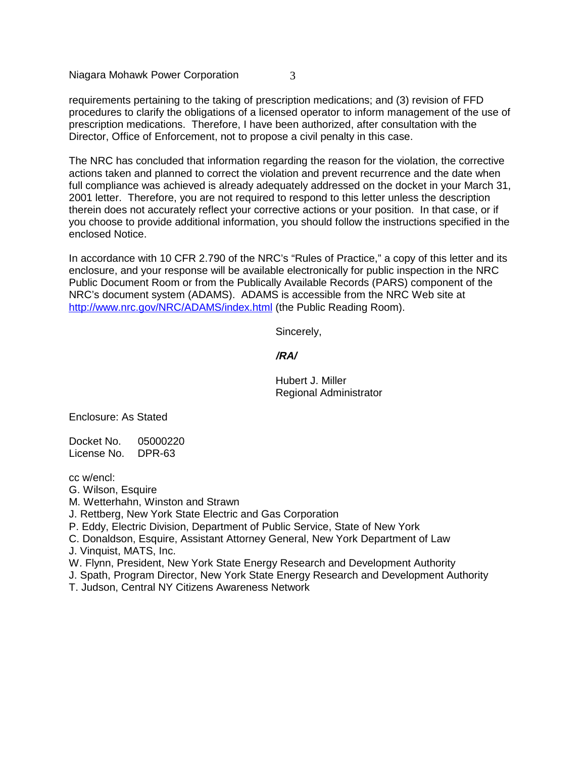Niagara Mohawk Power Corporation 3

requirements pertaining to the taking of prescription medications; and (3) revision of FFD procedures to clarify the obligations of a licensed operator to inform management of the use of prescription medications. Therefore, I have been authorized, after consultation with the Director, Office of Enforcement, not to propose a civil penalty in this case.

The NRC has concluded that information regarding the reason for the violation, the corrective actions taken and planned to correct the violation and prevent recurrence and the date when full compliance was achieved is already adequately addressed on the docket in your March 31, 2001 letter. Therefore, you are not required to respond to this letter unless the description therein does not accurately reflect your corrective actions or your position. In that case, or if you choose to provide additional information, you should follow the instructions specified in the enclosed Notice.

In accordance with 10 CFR 2.790 of the NRC's "Rules of Practice," a copy of this letter and its enclosure, and your response will be available electronically for public inspection in the NRC Public Document Room or from the Publically Available Records (PARS) component of the NRC's document system (ADAMS). ADAMS is accessible from the NRC Web site at http://www.nrc.gov/NRC/ADAMS/index.html (the Public Reading Room).

Sincerely,

**/RA/**

Hubert J. Miller Regional Administrator

Enclosure: As Stated

Docket No. 05000220 License No. DPR-63

cc w/encl:

- G. Wilson, Esquire
- M. Wetterhahn, Winston and Strawn

J. Rettberg, New York State Electric and Gas Corporation

P. Eddy, Electric Division, Department of Public Service, State of New York

C. Donaldson, Esquire, Assistant Attorney General, New York Department of Law

J. Vinquist, MATS, Inc.

W. Flynn, President, New York State Energy Research and Development Authority

J. Spath, Program Director, New York State Energy Research and Development Authority

T. Judson, Central NY Citizens Awareness Network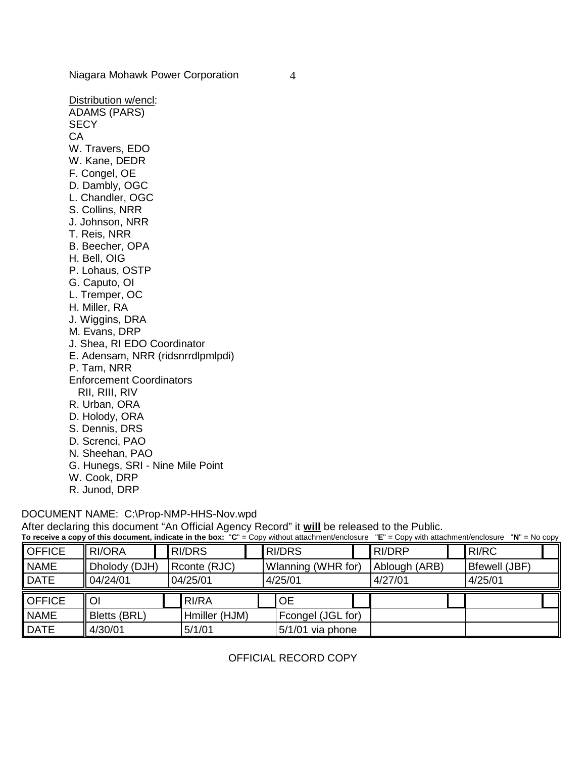Niagara Mohawk Power Corporation 4

Distribution w/encl: ADAMS (PARS) **SECY** CA W. Travers, EDO W. Kane, DEDR F. Congel, OE D. Dambly, OGC L. Chandler, OGC S. Collins, NRR J. Johnson, NRR T. Reis, NRR B. Beecher, OPA H. Bell, OIG P. Lohaus, OSTP G. Caputo, OI L. Tremper, OC H. Miller, RA J. Wiggins, DRA M. Evans, DRP J. Shea, RI EDO Coordinator E. Adensam, NRR (ridsnrrdlpmlpdi) P. Tam, NRR Enforcement Coordinators RII, RIII, RIV R. Urban, ORA D. Holody, ORA S. Dennis, DRS D. Screnci, PAO N. Sheehan, PAO G. Hunegs, SRI - Nine Mile Point W. Cook, DRP R. Junod, DRP

#### DOCUMENT NAME: C:\Prop-NMP-HHS-Nov.wpd

After declaring this document "An Official Agency Record" it **will** be released to the Public.

|               |               |  |               |  | To receive a copy of this document, indicate in the box: "C" = Copy without attachment/enclosure "E" = Copy with attachment/enclosure "N" = No copy |  |               |                      |  |
|---------------|---------------|--|---------------|--|-----------------------------------------------------------------------------------------------------------------------------------------------------|--|---------------|----------------------|--|
| <b>OFFICE</b> | <b>RI/ORA</b> |  | RI/DRS        |  | RI/DRS                                                                                                                                              |  | <b>RI/DRP</b> | <b>RI/RC</b>         |  |
| <b>NAME</b>   | Dholody (DJH) |  | Rconte (RJC)  |  | Wlanning (WHR for)                                                                                                                                  |  | Ablough (ARB) | <b>Bfewell (JBF)</b> |  |
| <b>DATE</b>   | 04/24/01      |  | 04/25/01      |  | 4/25/01                                                                                                                                             |  | 4/27/01       | 4/25/01              |  |
| <b>OFFICE</b> | <sup>O</sup>  |  | RI/RA         |  | <b>OE</b>                                                                                                                                           |  |               |                      |  |
| <b>NAME</b>   | Bletts (BRL)  |  | Hmiller (HJM) |  | Fcongel (JGL for)                                                                                                                                   |  |               |                      |  |
| DATE          | 4/30/01       |  | 5/1/01        |  | $5/1/01$ via phone                                                                                                                                  |  |               |                      |  |

# OFFICIAL RECORD COPY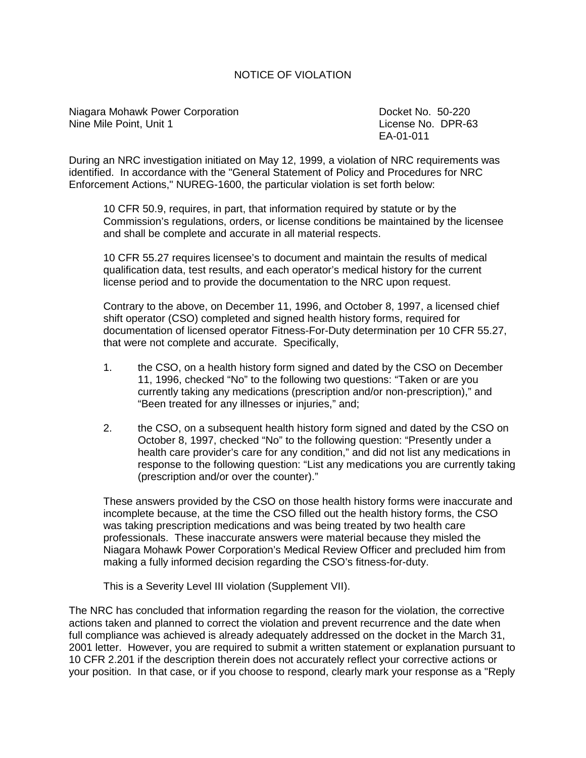## NOTICE OF VIOLATION

Niagara Mohawk Power Corporation **Docket No. 50-220** Docket No. 50-220 Nine Mile Point, Unit 1 License No. DPR-63

EA-01-011

During an NRC investigation initiated on May 12, 1999, a violation of NRC requirements was identified. In accordance with the "General Statement of Policy and Procedures for NRC Enforcement Actions," NUREG-1600, the particular violation is set forth below:

10 CFR 50.9, requires, in part, that information required by statute or by the Commission's regulations, orders, or license conditions be maintained by the licensee and shall be complete and accurate in all material respects.

10 CFR 55.27 requires licensee's to document and maintain the results of medical qualification data, test results, and each operator's medical history for the current license period and to provide the documentation to the NRC upon request.

Contrary to the above, on December 11, 1996, and October 8, 1997, a licensed chief shift operator (CSO) completed and signed health history forms, required for documentation of licensed operator Fitness-For-Duty determination per 10 CFR 55.27, that were not complete and accurate. Specifically,

- 1. the CSO, on a health history form signed and dated by the CSO on December 11, 1996, checked "No" to the following two questions: "Taken or are you currently taking any medications (prescription and/or non-prescription)," and "Been treated for any illnesses or injuries," and;
- 2. the CSO, on a subsequent health history form signed and dated by the CSO on October 8, 1997, checked "No" to the following question: "Presently under a health care provider's care for any condition," and did not list any medications in response to the following question: "List any medications you are currently taking (prescription and/or over the counter)."

These answers provided by the CSO on those health history forms were inaccurate and incomplete because, at the time the CSO filled out the health history forms, the CSO was taking prescription medications and was being treated by two health care professionals. These inaccurate answers were material because they misled the Niagara Mohawk Power Corporation's Medical Review Officer and precluded him from making a fully informed decision regarding the CSO's fitness-for-duty.

This is a Severity Level III violation (Supplement VII).

The NRC has concluded that information regarding the reason for the violation, the corrective actions taken and planned to correct the violation and prevent recurrence and the date when full compliance was achieved is already adequately addressed on the docket in the March 31, 2001 letter. However, you are required to submit a written statement or explanation pursuant to 10 CFR 2.201 if the description therein does not accurately reflect your corrective actions or your position. In that case, or if you choose to respond, clearly mark your response as a "Reply